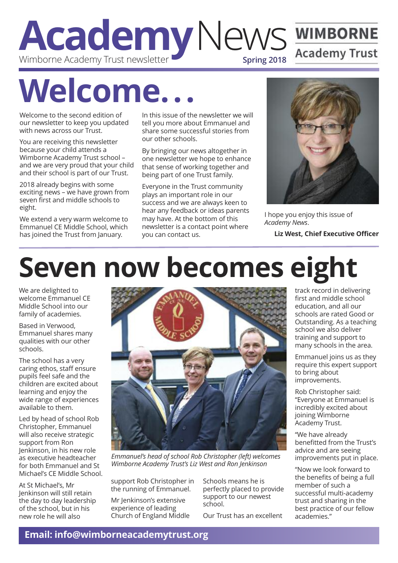#### **A cademy**News **Spring 2018** Wimborne Academy Trust newsletter

# **Welcome...**

Welcome to the second edition of our newsletter to keep you updated with news across our Trust.

You are receiving this newsletter because your child attends a Wimborne Academy Trust school – and we are very proud that your child and their school is part of our Trust.

2018 already begins with some exciting news – we have grown from seven first and middle schools to eight.

We extend a very warm welcome to Emmanuel CE Middle School, which has joined the Trust from January.

In this issue of the newsletter we will tell you more about Emmanuel and share some successful stories from our other schools.

By bringing our news altogether in one newsletter we hope to enhance that sense of working together and being part of one Trust family.

Everyone in the Trust community plays an important role in our success and we are always keen to hear any feedback or ideas parents may have. At the bottom of this newsletter is a contact point where you can contact us.



I hope you enjoy this issue of *Academy News*.

**Liz West, Chief Executive Officer**

# **Seven now becomes eight**

We are delighted to welcome Emmanuel CE Middle School into our family of academies.

Based in Verwood, Emmanuel shares many qualities with our other schools.

The school has a very caring ethos, staff ensure pupils feel safe and the children are excited about learning and enjoy the wide range of experiences available to them.

Led by head of school Rob Christopher, Emmanuel will also receive strategic support from Ron Jenkinson, in his new role as executive headteacher for both Emmanuel and St Michael's CE Middle School.

At St Michael's, Mr Jenkinson will still retain the day to day leadership of the school, but in his new role he will also



*Emmanuel's head of school Rob Christopher (left) welcomes Wimborne Academy Trust's Liz West and Ron Jenkinson*

support Rob Christopher in the running of Emmanuel.

Mr Jenkinson's extensive experience of leading Church of England Middle Schools means he is perfectly placed to provide support to our newest school.

Our Trust has an excellent

track record in delivering first and middle school education, and all our schools are rated Good or Outstanding. As a teaching school we also deliver training and support to many schools in the area.

Emmanuel joins us as they require this expert support to bring about improvements.

Rob Christopher said: "Everyone at Emmanuel is incredibly excited about joining Wimborne Academy Trust.

"We have already benefitted from the Trust's advice and are seeing improvements put in place.

"Now we look forward to the benefits of being a full member of such a successful multi-academy trust and sharing in the best practice of our fellow academies."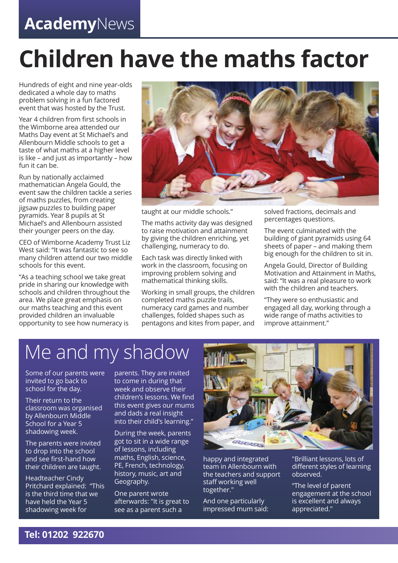#### **Academy**News

## **Children have the maths factor**

Hundreds of eight and nine year-olds dedicated a whole day to maths problem solving in a fun factored event that was hosted by the Trust.

Year 4 children from first schools in the Wimborne area attended our Maths Day event at St Michael's and Allenbourn Middle schools to get a taste of what maths at a higher level is like – and just as importantly – how fun it can be.

Run by nationally acclaimed mathematician Angela Gould, the event saw the children tackle a series of maths puzzles, from creating jigsaw puzzles to building paper pyramids. Year 8 pupils at St Michael's and Allenbourn assisted their younger peers on the day.

CEO of Wimborne Academy Trust Liz West said: "It was fantastic to see so many children attend our two middle schools for this event.

"As a teaching school we take great pride in sharing our knowledge with schools and children throughout the area. We place great emphasis on our maths teaching and this event provided children an invaluable opportunity to see how numeracy is



taught at our middle schools."

The maths activity day was designed to raise motivation and attainment by giving the children enriching, yet challenging, numeracy to do.

Each task was directly linked with work in the classroom, focusing on improving problem solving and mathematical thinking skills.

Working in small groups, the children completed maths puzzle trails, numeracy card games and number challenges, folded shapes such as pentagons and kites from paper, and

solved fractions, decimals and percentages questions.

The event culminated with the building of giant pyramids using 64 sheets of paper – and making them big enough for the children to sit in.

Angela Gould, Director of Building Motivation and Attainment in Maths, said: "It was a real pleasure to work with the children and teachers.

"They were so enthusiastic and engaged all day, working through a wide range of maths activities to improve attainment."

### Me and my shadow

Some of our parents were invited to go back to school for the day.

Their return to the classroom was organised by Allenbourn Middle School for a Year 5 shadowing week.

The parents were invited to drop into the school and see first-hand how their children are taught.

Headteacher Cindy Pritchard explained: "This is the third time that we have held the Year 5 shadowing week for

parents. They are invited to come in during that week and observe their children's lessons. We find this event gives our mums and dads a real insight into their child's learning."

During the week, parents got to sit in a wide range of lessons, including maths, English, science, PE, French, technology, history, music, art and Geography.

One parent wrote afterwards: "It is great to see as a parent such a



happy and integrated team in Allenbourn with the teachers and support staff working well together."

And one particularly impressed mum said: "Brilliant lessons, lots of different styles of learning observed.

"The level of parent engagement at the school is excellent and always appreciated."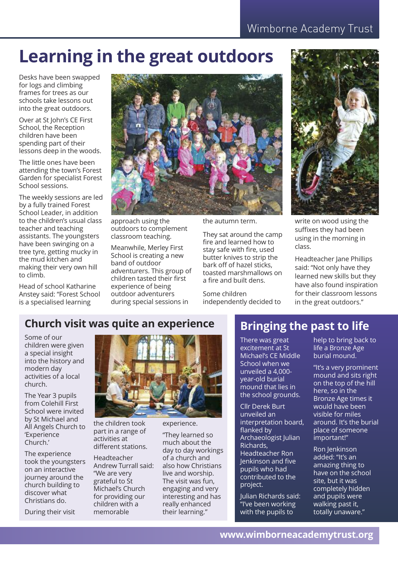#### **Learning in the great outdoors**

Desks have been swapped for logs and climbing frames for trees as our schools take lessons out into the great outdoors.

Over at St John's CE First School, the Reception children have been spending part of their lessons deep in the woods.

The little ones have been attending the town's Forest Garden for specialist Forest School sessions.

The weekly sessions are led by a fully trained Forest School Leader, in addition to the children's usual class teacher and teaching assistants. The youngsters have been swinging on a tree tyre, getting mucky in the mud kitchen and making their very own hill to climb.

Head of school Katharine Anstey said: "Forest School is a specialised learning



approach using the outdoors to complement classroom teaching.

Meanwhile, Merley First School is creating a new band of outdoor adventurers. This group of children tasted their first experience of being outdoor adventurers during special sessions in

the autumn term.

They sat around the camp fire and learned how to stay safe with fire, used butter knives to strip the bark off of hazel sticks, toasted marshmallows on a fire and built dens.

Some children independently decided to



write on wood using the suffixes they had been using in the morning in class.

Headteacher Jane Phillips said: "Not only have they learned new skills but they have also found inspiration for their classroom lessons in the great outdoors."

#### **Church visit was quite an experience**

Some of our children were given a special insight into the history and modern day activities of a local church.

The Year 3 pupils from Colehill First School were invited by St Michael and All Angels Church to 'Experience Church.'

The experience took the youngsters on an interactive journey around the church building to discover what Christians do.

During their visit



the children took part in a range of activities at different stations.

Headteacher Andrew Turrall said: "We are very grateful to St Michael's Church for providing our children with a memorable

experience.

"They learned so much about the day to day workings of a church and also how Christians live and worship. The visit was fun, engaging and very interesting and has really enhanced their learning."

#### **Bringing the past to life**

There was great excitement at St Michael's CE Middle School when we unveiled a 4,000 year-old burial mound that lies in the school grounds.

Cllr Derek Burt unveiled an interpretation board, flanked by Archaeologist Julian Richards, Headteacher Ron Jenkinson and five pupils who had contributed to the project.

Julian Richards said: "I've been working with the pupils to

help to bring back to life a Bronze Age burial mound.

"It's a very prominent mound and sits right on the top of the hill here, so in the Bronze Age times it would have been visible for miles around. It's the burial place of someone important!"

Ron Jenkinson added: "It's an amazing thing to have on the school site, but it was completely hidden and pupils were walking past it, totally unaware."